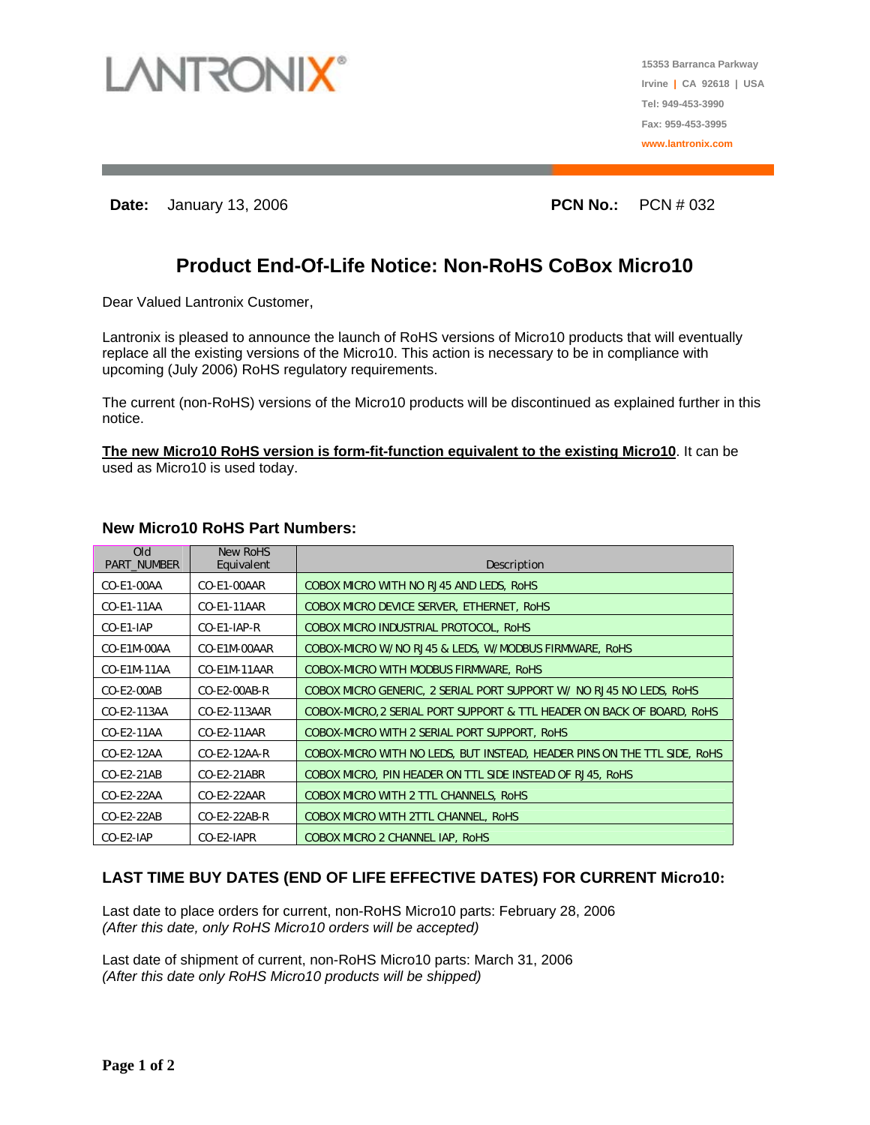

**15353 Barranca Parkway Irvine | CA 92618 | USA Tel: 949-453-3990 Fax: 959-453-3995 www.lantronix.com**

**Date:** January 13, 2006 **PCN No.:**  PCN # 032

# **Product End-Of-Life Notice: Non-RoHS CoBox Micro10**

Dear Valued Lantronix Customer,

Lantronix is pleased to announce the launch of RoHS versions of Micro10 products that will eventually replace all the existing versions of the Micro10. This action is necessary to be in compliance with upcoming (July 2006) RoHS regulatory requirements.

The current (non-RoHS) versions of the Micro10 products will be discontinued as explained further in this notice.

**The new Micro10 RoHS version is form-fit-function equivalent to the existing Micro10**. It can be used as Micro10 is used today.

| <b>Old</b><br><b>PART NUMBER</b> | New RoHS<br>Equivalent | Description                                                              |
|----------------------------------|------------------------|--------------------------------------------------------------------------|
| CO-E1-00AA                       | CO-E1-00AAR            | COBOX MICRO WITH NO RJ45 AND LEDS, RoHS                                  |
| CO-E1-11AA                       | CO-E1-11AAR            | COBOX MICRO DEVICE SERVER, ETHERNET, ROHS                                |
| CO-E1-IAP                        | CO-E1-IAP-R            | COBOX MICRO INDUSTRIAL PROTOCOL, RoHS                                    |
| CO-E1M-00AA                      | CO-E1M-00AAR           | COBOX-MICRO W/NO RJ45 & LEDS, W/MODBUS FIRMWARE, RoHS                    |
| CO-E1M-11AA                      | CO-E1M-11AAR           | COBOX-MICRO WITH MODBUS FIRMWARE, RoHS                                   |
| $CO-E2-00AB$                     | $CO-E2-00AB-R$         | COBOX MICRO GENERIC, 2 SERIAL PORT SUPPORT W/ NO RJ45 NO LEDS, RoHS      |
| CO-E2-113AA                      | CO-E2-113AAR           | COBOX-MICRO, 2 SERIAL PORT SUPPORT & TTL HEADER ON BACK OF BOARD, ROHS   |
| CO-E2-11AA                       | CO-E2-11AAR            | COBOX-MICRO WITH 2 SERIAL PORT SUPPORT, ROHS                             |
| CO-E2-12AA                       | $CO-E2-12AA-R$         | COBOX-MICRO WITH NO LEDS, BUT INSTEAD, HEADER PINS ON THE TTL SIDE, ROHS |
| CO-E2-21AB                       | CO-E2-21ABR            | COBOX MICRO, PIN HEADER ON TTL SIDE INSTEAD OF RJ45, RoHS                |
| CO-E2-22AA                       | CO-E2-22AAR            | COBOX MICRO WITH 2 TTL CHANNELS, RoHS                                    |
| CO-E2-22AB                       | CO-E2-22AB-R           | COBOX MICRO WITH 2TTL CHANNEL, RoHS                                      |
| CO-E2-IAP                        | CO-E2-IAPR             | COBOX MICRO 2 CHANNEL IAP, RoHS                                          |

### **New Micro10 RoHS Part Numbers:**

## **LAST TIME BUY DATES (END OF LIFE EFFECTIVE DATES) FOR CURRENT Micro10:**

Last date to place orders for current, non-RoHS Micro10 parts: February 28, 2006 *(After this date, only RoHS Micro10 orders will be accepted)* 

Last date of shipment of current, non-RoHS Micro10 parts: March 31, 2006 *(After this date only RoHS Micro10 products will be shipped)*